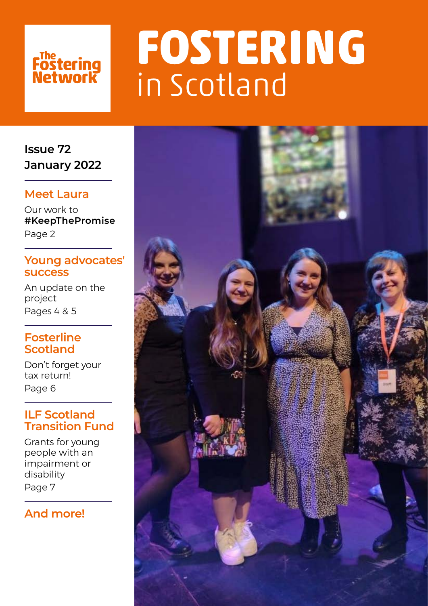# Fostering<br>Network

# **FOSTERING**  in Scotland

**Issue 72 January 2022**

## **Meet Laura**

Our work to **#KeepThePromise** Page 2

## **Young advocates' success**

An update on the project Pages 4 & 5

## **Fosterline Scotland**

Don't forget your tax return! Page 6

## **ILF Scotland Transition Fund**

Grants for young people with an impairment or disability Page 7

## **And more!**

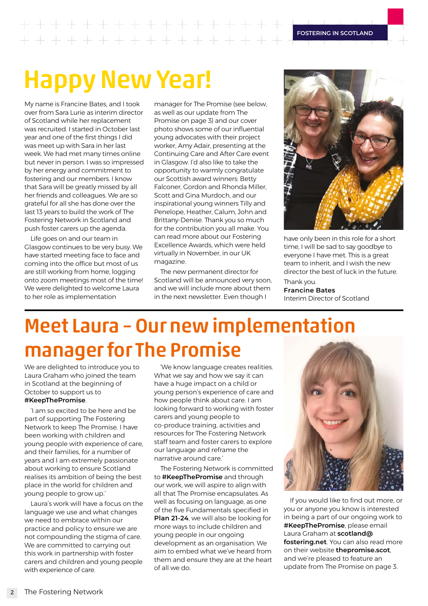**FOSTERING IN SCOTLAND**

# Happy New Year!

 $+ + + + + + +$ 

My name is Francine Bates, and I took over from Sara Lurie as interim director of Scotland while her replacement was recruited. I started in October last year and one of the first things I did was meet up with Sara in her last week. We had met many times online but never in person. I was so impressed by her energy and commitment to fostering and our members. I know that Sara will be greatly missed by all her friends and colleagues. We are so grateful for all she has done over the last 13 years to build the work of The Fostering Network in Scotland and push foster carers up the agenda.

Life goes on and our team in Glasgow continues to be very busy. We have started meeting face to face and coming into the office but most of us are still working from home, logging onto zoom meetings most of the time! We were delighted to welcome Laura to her role as implementation

manager for The Promise (see below, as well as our update from The Promise on page 3) and our cover photo shows some of our influential young advocates with their project worker, Amy Adair, presenting at the Continuing Care and After Care event in Glasgow. I'd also like to take the opportunity to warmly congratulate our Scottish award winners: Betty Falconer, Gordon and Rhonda Miller, Scott and Gina Murdoch, and our inspirational young winners Tilly and Penelope, Heather, Calum, John and Brittany-Denise. Thank you so much for the contribution you all make. You can read more about our Fostering Excellence Awards, which were held virtually in November, in our UK magazine.

The new permanent director for Scotland will be announced very soon, and we will include more about them in the next newsletter. Even though I



have only been in this role for a short time, I will be sad to say goodbye to everyone I have met. This is a great team to inherit, and I wish the new director the best of luck in the future.

Thank you. **Francine Bates** Interim Director of Scotland

# Meet Laura – Our new implementation manager for The Promise

We are delighted to introduce you to Laura Graham who joined the team in Scotland at the beginning of October to support us to

### **#KeepThePromise**.

'I am so excited to be here and be part of supporting The Fostering Network to keep The Promise. I have been working with children and young people with experience of care, and their families, for a number of years and I am extremely passionate about working to ensure Scotland realises its ambition of being the best place in the world for children and young people to grow up.'

Laura's work will have a focus on the language we use and what changes we need to embrace within our practice and policy to ensure we are not compounding the stigma of care. We are committed to carrying out this work in partnership with foster carers and children and young people with experience of care.

'We know language creates realities. What we say and how we say it can have a huge impact on a child or young person's experience of care and how people think about care. I am looking forward to working with foster carers and young people to co-produce training, activities and resources for The Fostering Network staff team and foster carers to explore our language and reframe the narrative around care.'

The Fostering Network is committed to **#KeepThePromise** and through our work, we will aspire to align with all that The Promise encapsulates. As well as focusing on language, as one of the five Fundamentals specified in **Plan 21-24**, we will also be looking for more ways to include children and young people in our ongoing development as an organisation. We aim to embed what we've heard from them and ensure they are at the heart of all we do.



If you would like to find out more, or you or anyone you know is interested in being a part of our ongoing work to **#KeepThePromise**, please email Laura Graham at **[scotland@](mailto:scotland@fostering.net) [fostering.net](mailto:scotland@fostering.net)**. You can also read more on their website **[thepromise.scot](http://thepromise.scot)**, and we're pleased to feature an update from The Promise on page 3.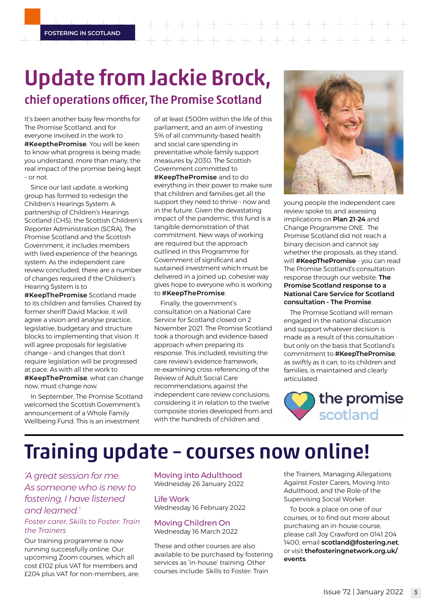**FOSTERING IN SCOTLAND**

# Update from Jackie Brock, chief operations officer, The Promise Scotland

It's been another busy few months for The Promise Scotland, and for everyone involved in the work to **#KeepthePromise**. You will be keen to know what progress is being made; you understand, more than many, the real impact of the promise being kept – or not.

Since our last update, a working group has formed to redesign the Children's Hearings System. A partnership of Children's Hearings Scotland (CHS), the Scottish Children's Reporter Administration (SCRA), The Promise Scotland and the Scottish Government, it includes members with lived experience of the hearings system. As the independent care review concluded, there are a number of changes required if the Children's Hearing System is to

**#KeepThePromise** Scotland made to its children and families. Chaired by former sheriff David Mackie, it will agree a vision and analyse practice, legislative, budgetary and structure blocks to implementing that vision. It will agree proposals for legislative change – and changes that don't require legislation will be progressed at pace. As with all the work to **#KeepThePromise**, what can change now, must change now.

In September, The Promise Scotland welcomed the Scottish Government's announcement of a Whole Family Wellbeing Fund. This is an investment

of at least £500m within the life of this parliament, and an aim of investing 5% of all community-based health and social care spending in preventative whole family support measures by 2030. The Scottish Government committed to **#KeepThePromise** and to do everything in their power to make sure that children and families get all the support they need to thrive - now and in the future. Given the devastating impact of the pandemic, this fund is a tangible demonstration of that commitment. New ways of working are required but the approach outlined in this Programme for Government of significant and sustained investment which must be

delivered in a joined up, cohesive way gives hope to everyone who is working to **#KeepThePromise**.

Finally, the government's consultation on a National Care Service for Scotland closed on 2 November 2021. The Promise Scotland took a thorough and evidence-based approach when preparing its response. This included; revisiting the care review's evidence framework; re-examining cross-referencing of the Review of Adult Social Care recommendations against the independent care review conclusions; considering it in relation to the twelve composite stories developed from and with the hundreds of children and



young people the independent care review spoke to; and assessing implications on **Plan 21-24** and Change Programme ONE. The Promise Scotland did not reach a binary decision and cannot say whether the proposals, as they stand, will **#KeepThePromise** - you can read The Promise Scotland's consultation response through our website: **The Promise Scotland response to a National Care Service for Scotland consultation - The Promise**.

The Promise Scotland will remain engaged in the national discussion and support whatever decision is made as a result of this consultation but only on the basis that Scotland's commitment to **#KeepThePromise**, as swiftly as it can, to its children and families, is maintained and clearly articulated.



# Training update – courses now online!

*'A great session for me. As someone who is new to fostering, I have listened and learned.'*

### *Foster carer, Skills to Foster: Train the Trainers*

Our training programme is now running successfully online. Our upcoming Zoom courses, which all cost £102 plus VAT for members and £204 plus VAT for non-members, are: Moving into Adulthood Wednesday 26 January 2022

Life Work Wednesday 16 February 2022

Moving Children On Wednesday 16 March 2022

These and other courses are also available to be purchased by fostering services as 'in-house' training. Other courses include: Skills to Foster: Train

the Trainers, Managing Allegations Against Foster Carers, Moving Into Adulthood, and the Role of the Supervising Social Worker.

To book a place on one of our courses, or to find out more about purchasing an in-house course, please call Joy Crawford on 0141 204 1400, email **scotland@fostering.net**, or visit **[thefosteringnetwork.org.uk/](https://thefosteringnetwork.org.uk/training-and-events) [events](https://thefosteringnetwork.org.uk/training-and-events)**.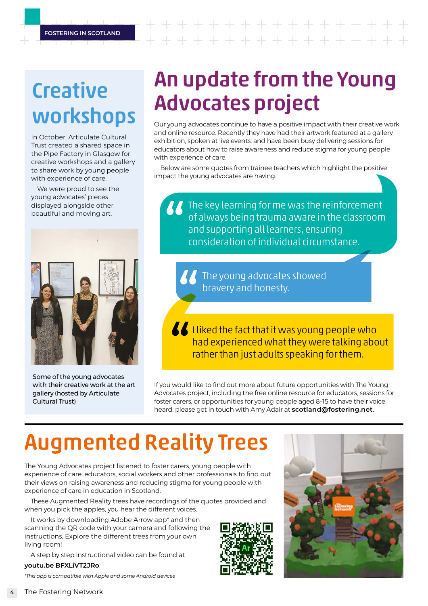# $+ + + + + + + +$

# **Creative** workshops

In October, Articulate Cultural Trust created a shared space in the Pipe Factory in Glasgow for creative workshops and a gallery to share work by young people with experience of care.

We were proud to see the young advocates' pieces displayed alongside other beautiful and moving art.



Some of the young advocates with their creative work at the art gallery (hosted by Articulate Cultural Trust)

# An update from the Young Advocates project

Our young advocates continue to have a positive impact with their creative work and online resource. Recently they have had their artwork featured at a gallery exhibition, spoken at live events, and have been busy delivering sessions for educators about how to raise awareness and reduce stigma for young people with experience of care.

Below are some quotes from trainee teachers which highlight the positive impact the young advocates are having:

 $\sqrt{\phantom{a}}$  The key learning for me was the reinforcement of always being trauma aware in the classroom and supporting all learners, ensuring consideration of individual circumstance.

> The young advocates showed bravery and honesty.

**I liked the fact that it was young people who** had experienced what they were talking about rather than just adults speaking for them.

If you would like to find out more about future opportunities with The Young Advocates project, including the free online resource for educators, sessions for foster carers, or opportunities for young people aged 8-15 to have their voice heard, please get in touch with Amy Adair at **[scotland@fostering.net](mailto:scotland@fostering.net)**.

# Augmented Reality Trees

The Young Advocates project listened to foster carers, young people with experience of care, educators, social workers and other professionals to find out their views on raising awareness and reducing stigma for young people with experience of care in education in Scotland.

These Augmented Reality trees have recordings of the quotes provided and when you pick the apples, you hear the different voices.

It works by downloading Adobe Arrow app\* and then scanning the QR code with your camera and following the instructions. Explore the different trees from your own living room!

A step by step instructional video can be found at

### **[youtu.be BFXLiVT2JRo](https://www.youtube.com/watch?v=BFXLiVT2JRo)**.

*\*This app is compatible with Apple and some Android devices*



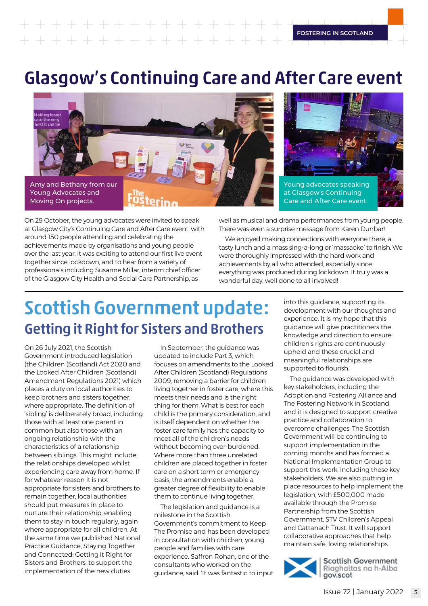## **FOSTERING IN SCOTLAND**  $+ + + + + +$

# Glasgow's Continuing Care and After Care event





On 29 October, the young advocates were invited to speak at Glasgow City's Continuing Care and After Care event, with around 150 people attending and celebrating the achievements made by organisations and young people over the last year. It was exciting to attend our first live event together since lockdown, and to hear from a variety of professionals including Susanne Millar, interim chief officer of the Glasgow City Health and Social Care Partnership, as

well as musical and drama performances from young people. There was even a surprise message from Karen Dunbar!

We enjoyed making connections with everyone there, a tasty lunch and a mass sing-a-long or 'massaoke' to finish. We were thoroughly impressed with the hard work and achievements by all who attended, especially since everything was produced during lockdown. It truly was a wonderful day, well done to all involved!

# Scottish Government update: Getting it Right for Sisters and Brothers

On 26 July 2021, the Scottish Government introduced legislation (the Children (Scotland) Act 2020 and the Looked After Children (Scotland) Amendment Regulations 2021) which places a duty on local authorities to keep brothers and sisters together, where appropriate. The definition of 'sibling' is deliberately broad, including those with at least one parent in common but also those with an ongoing relationship with the characteristics of a relationship between siblings. This might include the relationships developed whilst experiencing care away from home. If for whatever reason it is not appropriate for sisters and brothers to remain together, local authorities should put measures in place to nurture their relationship, enabling them to stay in touch regularly, again where appropriate for all children. At the same time we published National Practice Guidance, [Staying Together](https://www.gov.scot/binaries/content/documents/govscot/publications/advice-and-guidance/2021/07/staying-together-connected-getting-right-sisters-brothers-national-practice-guidance/documents/staying-together-connected-getting-right-sisters-brothers-national-practice-guidance/staying-together-connected-getting-right-sisters-brothers-national-practice-guidance/govscot%3Adocument/staying-together-connected-getting-right-sisters-brothers-national-practice-guidance.pdf)  [and Connected: Getting it Right for](https://www.gov.scot/binaries/content/documents/govscot/publications/advice-and-guidance/2021/07/staying-together-connected-getting-right-sisters-brothers-national-practice-guidance/documents/staying-together-connected-getting-right-sisters-brothers-national-practice-guidance/staying-together-connected-getting-right-sisters-brothers-national-practice-guidance/govscot%3Adocument/staying-together-connected-getting-right-sisters-brothers-national-practice-guidance.pdf)  [Sisters and Brothers](https://www.gov.scot/binaries/content/documents/govscot/publications/advice-and-guidance/2021/07/staying-together-connected-getting-right-sisters-brothers-national-practice-guidance/documents/staying-together-connected-getting-right-sisters-brothers-national-practice-guidance/staying-together-connected-getting-right-sisters-brothers-national-practice-guidance/govscot%3Adocument/staying-together-connected-getting-right-sisters-brothers-national-practice-guidance.pdf), to support the implementation of the new duties.

In September, the guidance was updated to include Part 3, which focuses on amendments to the Looked After Children (Scotland) Regulations 2009, removing a barrier for children living together in foster care, where this meets their needs and is the right thing for them. What is best for each child is the primary consideration, and is itself dependent on whether the foster care family has the capacity to meet all of the children's needs without becoming over-burdened. Where more than three unrelated children are placed together in foster care on a short term or emergency basis, the amendments enable a greater degree of flexibility to enable them to continue living together.

The legislation and guidance is a milestone in the Scottish Government's commitment to Keep The Promise and has been developed in consultation with children, young people and families with care experience. Saffron Rohan, one of the consultants who worked on the guidance, said: 'It was fantastic to input into this guidance, supporting its development with our thoughts and experience. It is my hope that this guidance will give practitioners the knowledge and direction to ensure children's rights are continuously upheld and these crucial and meaningful relationships are supported to flourish.'

The guidance was developed with key stakeholders, including the Adoption and Fostering Alliance and The Fostering Network in Scotland, and it is designed to support creative practice and collaboration to overcome challenges. The Scottish Government will be continuing to support implementation in the coming months and has formed a National Implementation Group to support this work, including these key stakeholders. We are also putting in place resources to help implement the legislation, with £500,000 made available through the Promise Partnership from the Scottish Government, STV Children's Appeal and Cattanach Trust. It will support collaborative approaches that help maintain safe, loving relationships.



**Scottish Government** Riaghaltas na h-Alba gov.scot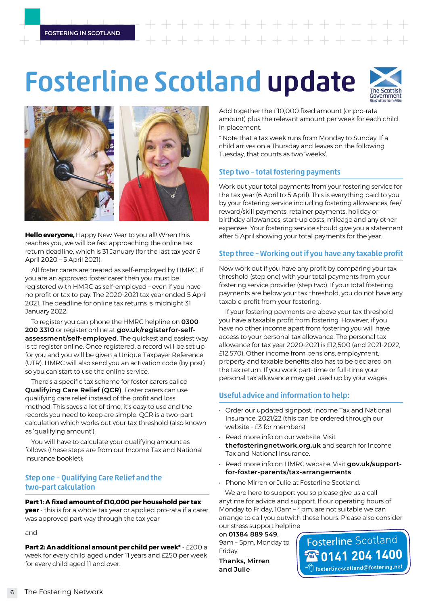# Fosterline Scotland update





**Hello everyone,** Happy New Year to you all! When this reaches you, we will be fast approaching the online tax return deadline, which is 31 January (for the last tax year 6 April 2020 – 5 April 2021).

All foster carers are treated as self-employed by HMRC. If you are an approved foster carer then you must be registered with HMRC as self-employed – even if you have no profit or tax to pay. The 2020-2021 tax year ended 5 April 2021. The deadline for online tax returns is midnight 31 January 2022.

To register you can phone the HMRC helpline on **0300 200 3310** or register online at **[gov.uk/registerfor-self](https://www.gov.uk/self-assessment-tax-returns)[assessment/self-employed](https://www.gov.uk/self-assessment-tax-returns)**. The quickest and easiest way is to register online. Once registered, a record will be set up for you and you will be given a Unique Taxpayer Reference (UTR). HMRC will also send you an activation code (by post) so you can start to use the online service.

There's a specific tax scheme for foster carers called **Qualifying Care Relief (QCR)**. Foster carers can use qualifying care relief instead of the profit and loss method. This saves a lot of time, it's easy to use and the records you need to keep are simple. QCR is a two-part calculation which works out your tax threshold (also known as 'qualifying amount').

You will have to calculate your qualifying amount as follows (these steps are from our Income Tax and National Insurance booklet):

## Step one – Qualifying Care Relief and the two-part calculation

### **Part 1: A fixed amount of £10,000 per household per tax**

**year** - this is for a whole tax year or applied pro-rata if a carer was approved part way through the tax year

and

**Part 2: An additional amount per child per week\*** - £200 a week for every child aged under 11 years and £250 per week for every child aged 11 and over.

Add together the £10,000 fixed amount (or pro-rata amount) plus the relevant amount per week for each child in placement.

\* Note that a tax week runs from Monday to Sunday. If a child arrives on a Thursday and leaves on the following Tuesday, that counts as two 'weeks'.

## Step two – total fostering payments

Work out your total payments from your fostering service for the tax year (6 April to 5 April). This is everything paid to you by your fostering service including fostering allowances, fee/ reward/skill payments, retainer payments, holiday or birthday allowances, start-up costs, mileage and any other expenses. Your fostering service should give you a statement after 5 April showing your total payments for the year.

### Step three – Working out if you have any taxable profit

Now work out if you have any profit by comparing your tax threshold (step one) with your total payments from your fostering service provider (step two). If your total fostering payments are below your tax threshold, you do not have any taxable profit from your fostering.

If your fostering payments are above your tax threshold you have a taxable profit from fostering. However, if you have no other income apart from fostering you will have access to your personal tax allowance. The personal tax allowance for tax year 2020-2021 is £12,500 (and 2021-2022, £12,570). Other income from pensions, employment, property and taxable benefits also has to be declared on the tax return. If you work part-time or full-time your personal tax allowance may get used up by your wages.

## Useful advice and information to help:

- Order our updated signpost, Income Tax and National Insurance, 2021/22 (this can be ordered through our website - £3 for members).
- Read more info on our website. Visit **[thefosteringnetwork.org.uk](http://thefosteringnetwork.org.uk)** and search for Income Tax and National Insurance.
- Read more info on HMRC website. Visit **[gov.uk/support](https://www.gov.uk/support-for-foster-parents/tax-arrangements)[for-foster-parents/tax-arrangements](https://www.gov.uk/support-for-foster-parents/tax-arrangements)**.
- Phone Mirren or Julie at Fosterline Scotland.

We are here to support you so please give us a call anytime for advice and support. If our operating hours of Monday to Friday, 10am – 4pm, are not suitable we can arrange to call you outwith these hours. Please also consider our stress support helpline

on **01384 889 549**, 9am – 5pm, Monday to Friday.

**Thanks, Mirren and Julie** 

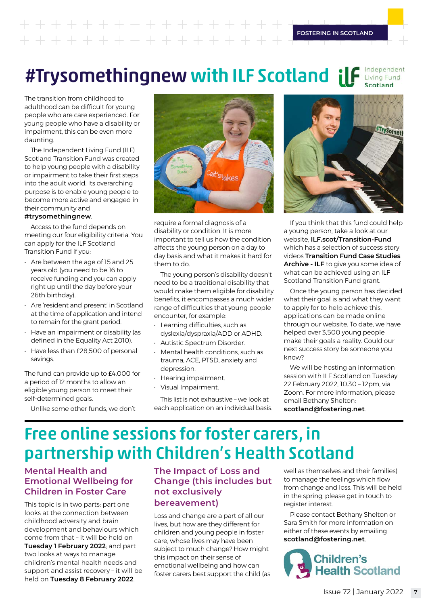#### Independent #Trysomethingnew with ILF Scotland ilf Living Fund Scotland

The transition from childhood to adulthood can be difficult for young people who are care experienced. For young people who have a disability or impairment, this can be even more daunting.

The Independent Living Fund (ILF) Scotland Transition Fund was created to help young people with a disability or impairment to take their first steps into the adult world. Its overarching purpose is to enable young people to become more active and engaged in their community and

### **#trysomethingnew**.

Access to the fund depends on meeting our four eligibility criteria. You can apply for the ILF Scotland Transition Fund if you:

- Are between the age of 15 and 25 years old (you need to be 16 to receive funding and you can apply right up until the day before your 26th birthday).
- Are 'resident and present' in Scotland at the time of application and intend to remain for the grant period.
- Have an impairment or disability (as defined in the Equality Act 2010).
- Have less than £28,500 of personal savings.

The fund can provide up to £4,000 for a period of 12 months to allow an eligible young person to meet their self-determined goals.

Unlike some other funds, we don't



require a formal diagnosis of a disability or condition. It is more important to tell us how the condition affects the young person on a day to day basis and what it makes it hard for them to do.

The young person's disability doesn't need to be a traditional disability that would make them eligible for disability benefits, it encompasses a much wider range of difficulties that young people encounter, for example:

- Learning difficulties, such as dyslexia/dyspraxia/ADD or ADHD.
- Autistic Spectrum Disorder.
- Mental health conditions, such as trauma, ACE, PTSD, anxiety and depression.
- Hearing impairment.
- Visual Impairment.

This list is not exhaustive – we look at each application on an individual basis.



If you think that this fund could help a young person, take a look at our website, **[ILF.scot/Transition-Fund](http://ilf.scot/Transition-Fund/)** which has a selection of success story videos **Transition Fund Case Studies Archive - ILF** to give you some idea of what can be achieved using an ILF Scotland Transition Fund grant.

Once the young person has decided what their goal is and what they want to apply for to help achieve this, applications can be made online through our website. To date, we have helped over 3,500 young people make their goals a reality. Could our next success story be someone you know<sup>?</sup>

We will be hosting an information session with ILF Scotland on Tuesday 22 February 2022, 10.30 – 12pm, via Zoom. For more information, please email Bethany Shelton: **scotland@fostering.net**.

## Free online sessions for foster carers, in partnership with Children's Health Scotland

## **Mental Health and Emotional Wellbeing for Children in Foster Care**

This topic is in two parts: part one looks at the connection between childhood adversity and brain development and behaviours which come from that – it will be held on **Tuesday 1 February 2022**; and part two looks at ways to manage children's mental health needs and support and assist recovery – it will be held on **Tuesday 8 February 2022**.

## **The Impact of Loss and Change (this includes but not exclusively bereavement)**

Loss and change are a part of all our lives, but how are they different for children and young people in foster care, whose lives may have been subject to much change? How might this impact on their sense of emotional wellbeing and how can foster carers best support the child (as well as themselves and their families) to manage the feelings which flow from change and loss. This will be held in the spring, please get in touch to register interest.

Please contact Bethany Shelton or Sara Smith for more information on either of these events by emailing **scotland@fostering.net**.